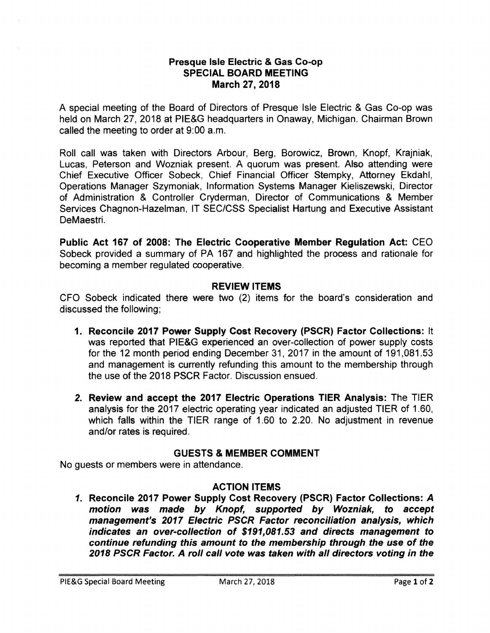#### **Presque Isle Electric & Gas Co-op SPECIAL BOARD MEETING March 27, 2018**

A special meeting of the Board of Directors of Presque Isle Electric & Gas Co-op was held on March 27, 2018 at PIE&G headquarters in Onaway, Michigan. Chairman Brown called the meeting to order at 9:00 a.m.

Roll call was taken with Directors Arbour, Berg, Borowicz, Brown, Knopf, Krajniak, Lucas, Peterson and Wozniak present. A quorum was present. Also attending were Chief Executive Officer Sobeck, Chief Financial Officer Stempky, Attorney Ekdahl, Operations Manager Szymoniak, Information Systems Manager Kieliszewski, Director of Administration & Controller Cryderman, Director of Communications & Member Services Chagnon-Hazelman, IT SEC/CSS Specialist Hartung and Executive Assistant DeMaestri.

**Public Act 167 of 2008: The Electric Cooperative Member Regulation Act:** CEO Sobeck provided a summary of PA 167 and highlighted the process and rationale for becoming a member regulated cooperative.

# **REVIEW ITEMS**

CFO Sobeck indicated there were two (2) items for the board's consideration and discussed the following;

- **1. Reconcile 2017 Power Supply Cost Recovery (PSCR) Factor Collections:** It was reported that PIE&G experienced an over-collection of power supply costs for the 12 month period ending December 31, 2017 in the amount of [191,081.53](https://191,081.53) and management is currently refunding this amount to the membership through the use of the 2018 PSCR Factor. Discussion ensued.
- *2.* **Review and accept the 2017 Electric Operations TIER Analysis:** The TIER analysis for the 2017 electric operating year indicated an adjusted TIER of 1.60, which falls within the TIER range of 1.60 to 2.20. No adjustment in revenue and/or rates is required.

#### **GUESTS & MEMBER COMMENT**

No guests or members were in attendance.

# **ACTION ITEMS**

**1. Reconcile 2017 Power Supply Cost Recovery (PSCR) Factor Collections: A motion was made by Knopf, supported by Wozniak, to accept management's 2017 Electric PSCR Factor reconciliation analysis, which indicates an over-collection of \$[191,081.53](https://191,081.53) and directs management to continue refunding this amount to the membership through the use of the 2018 PSCR Factor. A roll call vote was taken with all directors voting in the**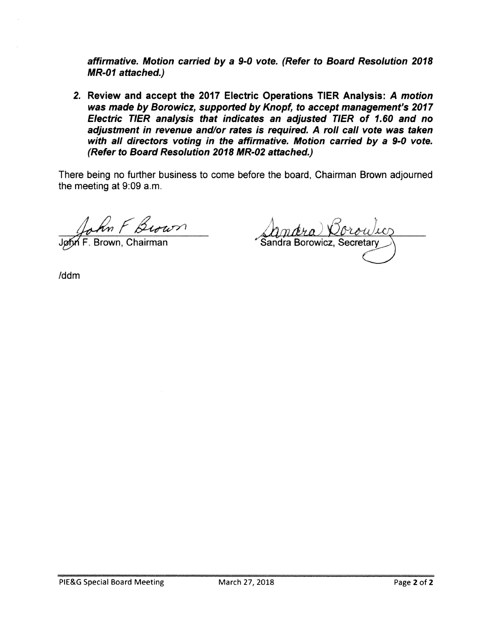**affirmative. Motion carried by a 9-0 vote. (Refer to Board Resolution 2018 MR-01 attached.)** 

**2. Review and accept the 2017 Electric Operations TIER Analysis: A motion was made by Borowicz, supported by Knopf, to accept management's 2017 Electric TIER analysis that indicates an adjusted TIER of 1. 60 and no adjustment in revenue and/or rates is required. A roll call vote was taken with all directors voting in the affirmative. Motion carried by a 9-0 vote. (Refer to Board Resolution 2018 MR-02 attached.)** 

There being no further business to come before the board, Chairman Brown adjourned the meeting at 9:09 a.m.

John F Brown

<u>Annara Corowico</u>

/ddm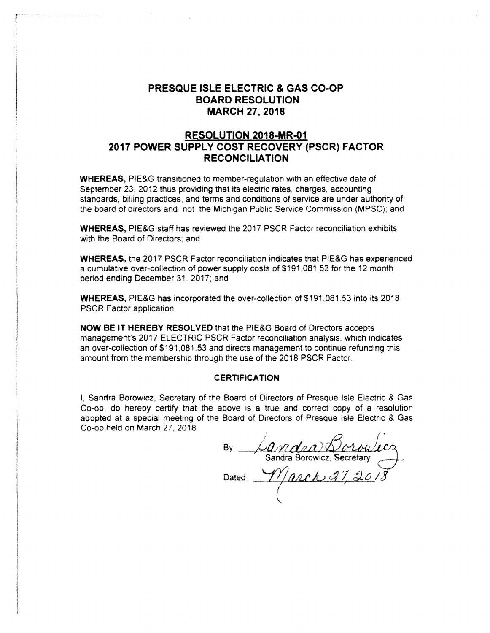## **PRESQUE ISLE ELECTRIC & GAS CO-OP BOARD RESOLUTION MARCH 27, 2018**

#### **RESOLUTION 2018-MR-01 2017 POWER SUPPLY COST RECOVERY (PSCR) FACTOR RECONCILIATION**

**WHEREAS,** PIE&G transitioned to member-regulation with an effective date of September 23. 2012 thus providing that its electric rates, charges, accounting standards. billing practices, and terms and conditions of service are under authority of the board of directors and not the Michigan Public Service Commission (MPSC); and

**WHEREAS,** PIE&G staff has reviewed the 2017 PSCR Factor reconciliation exhibits with the Board of Directors; and

**WHEREAS,** the 2017 PSCR Factor reconciliation indicates that PIE&G has experienced a cumulative over-collection of power supply costs of \$[191,081.53](https://191,081.53) for the 12 month period ending December 31, 2017; and

**WHEREAS, PIE&G has incorporated the over-collection of \$191,081.53 into its 2018** PSCR Factor application.

**NOW BE IT HEREBY RESOLVED** that the PIE&G Board of Directors accepts management's 2017 ELECTRIC PSCR Factor reconciliation analysis, which indicates an over-collection of [\\$191.081.53](https://191.081.53) and directs management to continue refunding this amount from the membership through the use of the 2018 PSCR Factor.

#### **CERTIFICATION**

!, Sandra Borowicz. Secretary of the Board of Directors of Presque Isle Electric & Gas Co-op. do hereby certify that the above is a true and correct copy of a resolution adopted at a special meeting of the Board of Directors of Presque Isle Electric & Gas Co-op held on March 27, 2018.

By: *Dandra*) Boroulecz Dated: <u>March 37, 20</u>1